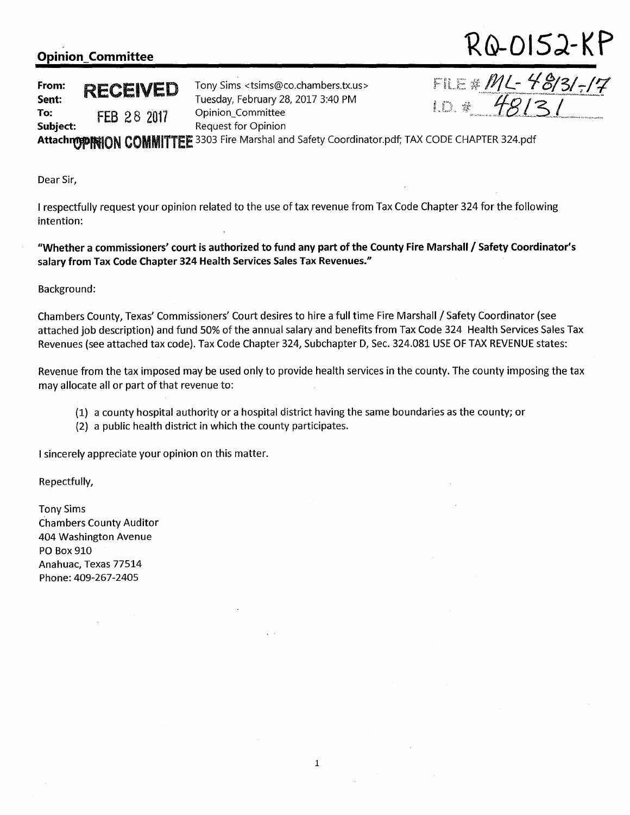| From:    | RECEIVED    |
|----------|-------------|
| Sent:    |             |
| To:      | FEB 28 2017 |
| Subject: |             |
|          |             |

**Opinion\_Committee RECEIVED** Tony Sims <tsims@co.chambers.tx.us><br> **Sent:** RECEIVED Tony Sims <tsims@co.chambers.tx.us> FILE # *ML*- 4 8/3/-/7<br>
To: FFR 9.8 9017 Opinion\_Committee 1.D. # 48/2/ Tony Sims <tsims@co.chambers.tx.us> **Sent:** Tuesday, February 28, 2017 3:40 PM Opinion\_Committee **Request for Opinion** 

AttachmOPFNION COMMITTEE 3303 Fire Marshal and Safety Coordinator.pdf; TAX CODE CHAPTER 324.pdf

Dear Sir,

I respectfully request your opinion related to the use of tax revenue from Tax Code Chapter 324 for the following intention:

**"Whether a commissioners' court is authorized to fund any part of the County Fire Marshall I Safety Coordinator's salary from Tax Code Chapter 324 Health Services Sales Tax Revenues."** 

Background:

Chambers County, Texas' Commissioners' Court desires to hire a full time Fire Marshall / Safety Coordinator (see attached job description) and fund 50% of the annual salary and benefits from Tax Code 324 Health Services Sales Tax Revenues (see attached tax code). Tax Code Chapter 324, Subchapter D, Sec. 324.081 USE OF TAX REVENUE states:

Revenue from the tax imposed may be used only to provide health services in the county. The county imposing the tax may allocate all or part of that revenue to:

1

- (1) a county hospital authority or a hospital district having the same boundaries as the county; or
- (2) a public health district in which the county participates.

I sincerely appreciate your opinion on this matter.

Repectfully,

Tony Sims Chambers County Auditor 404 Washington Avenue PO Box 910 Anahuac, Texas 77514 Phone:409-267-2405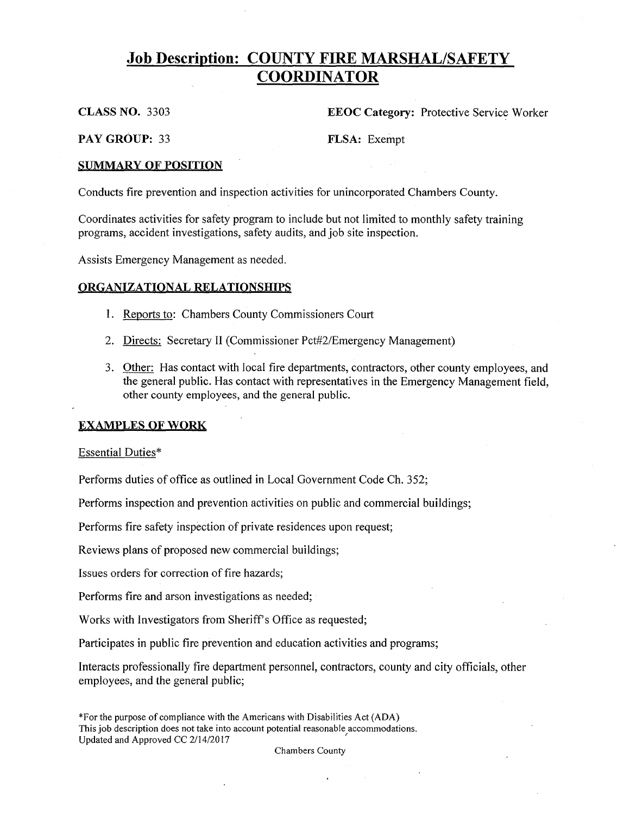# **Job Description: COUNTY FIRE MARSHAL/SAFETY COORDINATOR**

**CLASS NO.** 3303 **EEOC Category:** Protective Service Worker

**PAY GROUP:** 33 **FLSA:** Exempt

## **SUMMARY OF POSITION**

Conducts fire prevention and inspection activities for unincorporated Chambers County.

Coordinates activities for safety program to include but not limited to monthly safety training programs, accident investigations, safety audits, and job site inspection.

Assists Emergency Management as needed.

## **ORGANIZATIONAL RELATIONSHIPS**

- 1. Reports to: Chambers County Commissioners Court
- 2. Directs: Secretary II (Commissioner Pct#2/Emergency Management)
- 3. Other: Has contact with local fire departments, contractors, other county employees, and the general public. Has contact with representatives in the Emergency Management field, other county employees, and the general public.

## **EXAMPLES OF WORK**

## Essential Duties\*

Performs duties of office as outlined in Local Government Code Ch. 352;

Performs inspection and prevention activities on public and commercial buildings;

Performs fire safety inspection of private residences upon request;

Reviews plans of proposed new commercial buildings;

Issues orders for correction of fire hazards;

Performs fire and arson investigations as needed;

Works with Investigators from Sheriff's Office as requested;

Participates in public fire prevention and education activities and programs;

Interacts professionally fire department personnel, contractors, county and city officials, other employees, and the general public;

\*For the purpose of compliance with the Americans with Disabilities Act (ADA) This job description does not take into account potential reasonable accommodations. Updated and Approved CC 2/14/2017 '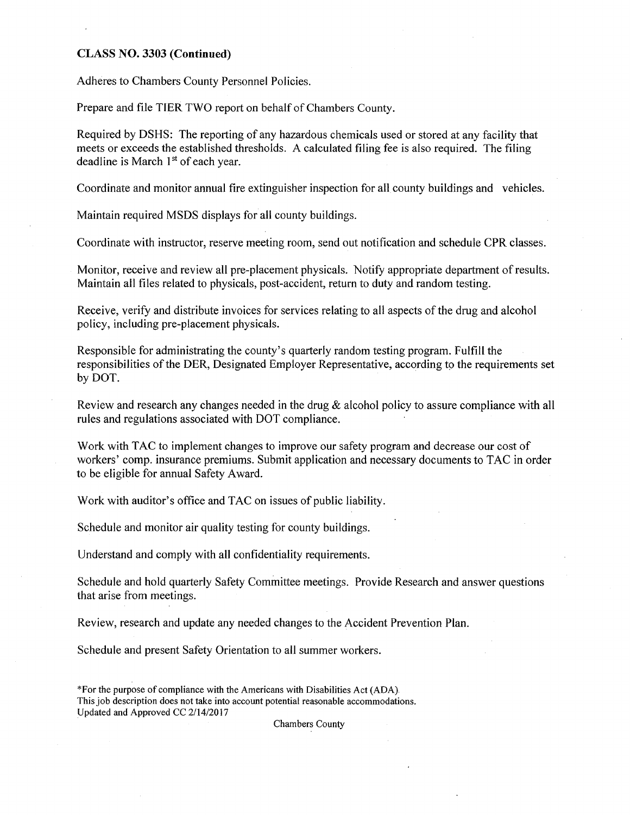## CLASS NO. 3303 (Continued)

Adheres to Chambers County Personnel Policies.

Prepare and file TIER TWO report on behalf of Chambers County.

Required by DSHS: The reporting of any hazardous chemicals used or stored at any facility that meets or exceeds the established thresholds. A calculated filing fee is also required. The filing deadline is March  $1<sup>st</sup>$  of each year.

Coordinate and monitor annual fire extinguisher inspection for all county buildings and vehicles.

Maintain required MSDS displays for all county buildings.

Coordinate with instructor, reserve meeting room, send out notification and schedule CPR classes.

Monitor, receive and review all pre-placement physicals. Notify appropriate department of results. Maintain all files related to physicals, post-accident, return to duty and random testing.

Receive, verify and distribute invoices for services relating to all aspects of the drug and alcohol policy, including pre-placement physicals.

Responsible for administrating the county's quarterly random testing program. Fulfill the responsibilities of the DER, Designated Employer Representative, according to the requirements set by DOT.

Review and research any changes needed in the drug & alcohol policy to assure compliance with all rules and regulations associated with DOT compliance.

Work with TAC to implement changes to improve our safety program and decrease our cost of workers' comp. insurance premiums. Submit application and necessary documents to TAC in order to be eligible for annual Safety Award.

Work with auditor's office and TAC on issues of public liability.

Schedule and monitor air quality testing for county buildings.

Understand and comply with all confidentiality requirements.

Schedule and hold quarterly Safety Committee meetings. Provide Research and answer questions that arise from meetings.

Review, research and update any needed changes to the Accident Prevention Plan.

Schedule and present Safety Orientation to all summer workers.

\*For the purpose of compliance with the Americans with Disabilities Act (ADA). This job description does not take into account potential reasonable accommodations. Updated and Approved CC 2/14/2017

Chambers County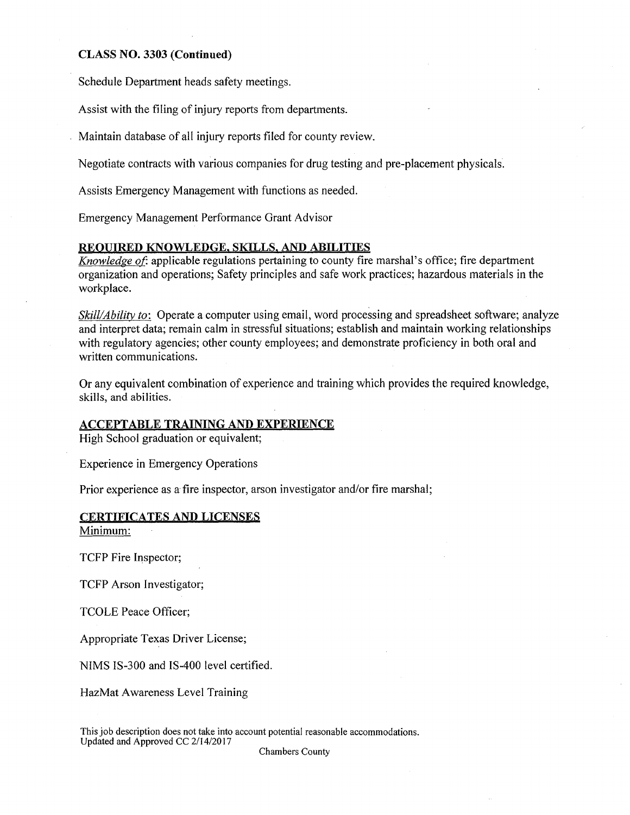## **CLASS NO. 3303 (Continued)**

Schedule Department heads safety meetings.

Assist with the filing of injury reports from departments.

Maintain database of all injury reports filed for county review.

Negotiate contracts with various companies for drug testing and pre-placement physicals.

Assists Emergency Management with functions as needed.

Emergency Management Performance Grant Advisor

## **REQUIRED KNOWLEDGE. SKILLS. AND ABILITIES**

*Knowledge of:* applicable regulations pertaining to county fire marshal's office; fire department organization and operations; Safety principles and safe work practices; hazardous materials in the workplace.

*Skill/Ability to:* Operate a computer using email, word processing and spreadsheet software; analyze and interpret data; remain calm in stressful situations; establish and maintain working relationships with regulatory agencies; other county employees; and demonstrate proficiency in both oral and written communications.

Or any equivalent combination of experience and training which provides the required knowledge, skills, and abilities.

## **ACCEPTABLE TRAINING AND EXPERIENCE**

High School graduation or equivalent;

Experience in Emergency Operations

Prior experience as a fire inspector, arson investigator and/or fire marshal;

## **CERTIFICATES AND LICENSES**  Minimum:

TCFP Fire Inspector;

TCFP Arson Investigator;

TCOLE Peace Officer;

Appropriate Texas Driver License;

NIMS IS-300 and IS-400 level certified.

HazMat Awareness Level Training

This job description does not take into account potential reasonable accommodations. Updated and Approved CC 2/14/2017

Chambers County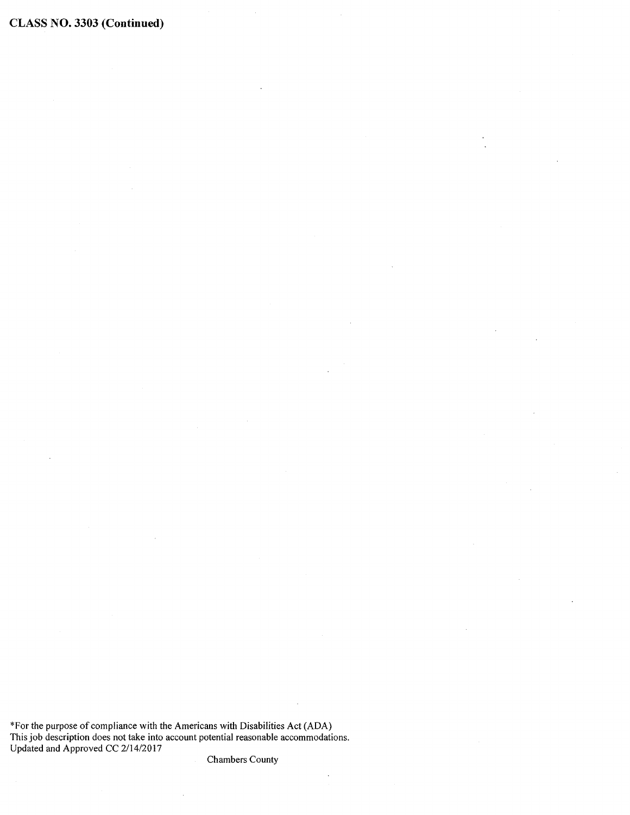**CLASS NO. 3303 (Continued)** 

\*For the purpose of compliance with the Americans with Disabilities Act (ADA) This job description does not take into account potential reasonable accommodations. Updated and Approved CC 2114/2017

Chambers County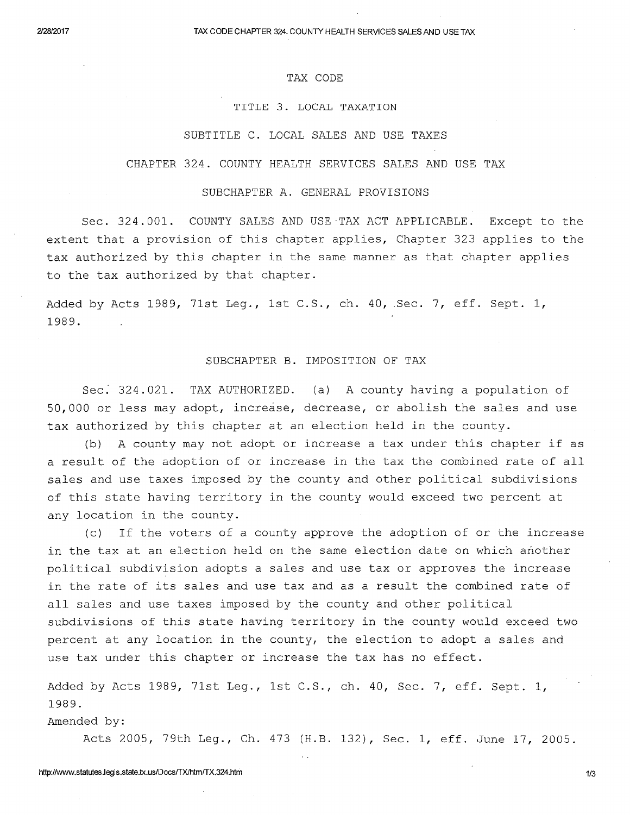#### TAX CODE

### TITLE 3. LOCAL TAXATION

#### SUBTITLE C. LOCAL SALES AND USE TAXES

#### CHAPTER 324. COUNTY HEALTH SERVICES SALES AND USE TAX

#### SUBCHAPTER A. GENERAL PROVISIONS

Sec. 324.001. COUNTY SALES AND USE TAX ACT APPLICABLE. Except to the extent that a provision of this chapter applies, Chapter 323 applies to the tax authorized by this chapter in the same manner as that chapter applies to the tax authorized by that chapter.

Added by Acts 1989, 71st Leg., 1st C.S., ch. 40, .Sec. 7, eff. Sept. 1, 1989.

#### SUBCHAPTER B. IMPOSITION OF TAX

*Sec:* 324.021. TAX AUTHORIZED. (a) A county having a population of 50,000 or less may adopt, increase, decrease, or abolish the sales and use tax authorized by this chapter at an election held in the county.

(b) A county may not adopt or increase a tax under this chapter if as a result of the adoption of or increase in the tax the combined rate of all sales and use taxes imposed by the county and other political subdivisions of this state having territory in the county would exceed two percent at any location in the county.

(c) If the voters of a county approve the adoption of or the increase in the tax at an election held on the same election date on which another political subdivision adopts a sales and use tax or approves the increase in the rate of its sales and use tax and as a result the combined rate of all sales and use taxes imposed by the county and other political subdivisions of this state having territory in the county would exceed two percent at any location in the county, the election to adopt a sales and use tax under this chapter or increase the tax has no effect.

Added by Acts 1989, 71st Leg., 1st C.S., ch. 40, Sec. 7, eff. Sept. 1, 1989.

### Amended by:

Acts 2005, 79th Leg., Ch. 473 (H.B. 132), Sec. 1, eff. June 17, 2005.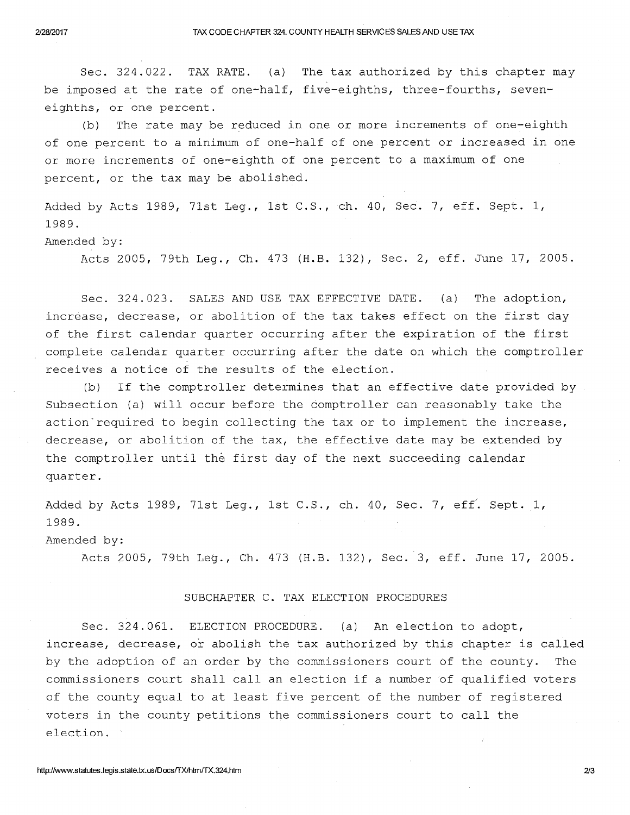Sec. 324.022. TAX RATE. (a) The tax authorized by this chapter may be imposed at the rate of one-half, five-eighths, three-fourths, seveneighths, or one percent.

(b) The rate may be reduced in one or more increments of one-eighth of one percent to a minimum of one-half of one percent or increased in one or more increments of one-eighth of one percent to a maximum of one percent, or the tax may be abolished.

Added by Acts 1989, 71st Leg., 1st C.S., ch. 40, Sec. 7, eff. Sept. 1, 1989.

Amended by:

Acts 2005, 79th Leg., Ch. 473 (H.B. 132), Sec. 2, eff. June 17, 2005.

Sec. 324.023. SALES AND USE TAX EFFECTIVE DATE. (a) The adoption, increase, decrease, or abolition of the tax takes effect on the first day of the first calendar quarter occurring after the expiration of the first complete calendar quarter occurring after the date on which the comptroller receives a notice of the results of the election.

(b) If the comptroller determines that an effective date provided by Subsection (a) will occur before the comptroller can reasonably take the action required to begin collecting the tax or to implement the increase, decrease, or abolition of the tax, the effective date may be extended by the comptroller until the first day of the next succeeding calendar quarter.

Added by Acts 1989, 71st Leg., 1st C.S., ch. 40, Sec. 7, eff. Sept. 1, 1989. Amended by:

Acts 2005, 79th Leg., Ch. 473 (H.B. 132), Sec. 3, eff. June 17, 2005.

### SUBCHAPTER C. TAX ELECTION PROCEDURES

Sec. 324.061. ELECTION PROCEDURE. (a) An election to adopt, increase, decrease, or abolish the tax authorized by this chapter is called by the adoption of an order by the commissioners court of the county. The commissioners court shall call an election if a number of qualified voters of the county equal to at least five percent of the number of registered voters in the county petitions the commissioners court to call the election.